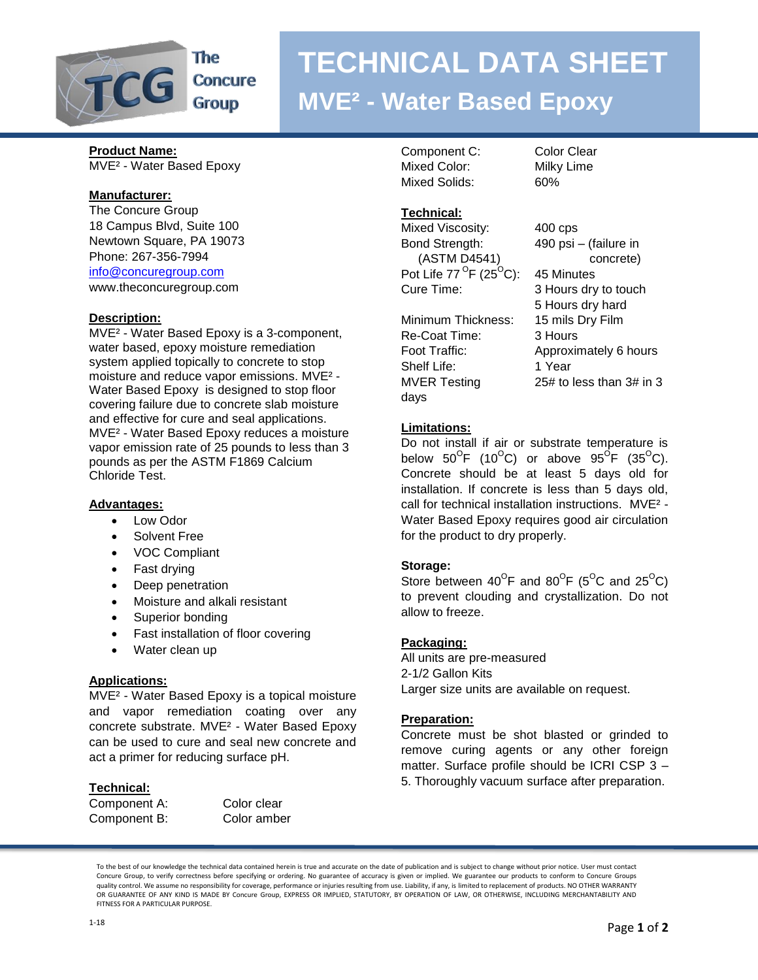

**Concure Group** 

# **TECHNICAL DATA SHEET**

### **MVE² - Water Based Epoxy**

#### **Product Name:**

MVE² - Water Based Epoxy

#### **Manufacturer:**

The Concure Group 18 Campus Blvd, Suite 100 Newtown Square, PA 19073 Phone: 267-356-7994 [info@concuregroup.com](mailto:info@concuregroup.com)

www.theconcuregroup.com

#### **Description:**

MVE² - Water Based Epoxy is a 3-component, water based, epoxy moisture remediation system applied topically to concrete to stop moisture and reduce vapor emissions. MVE² - Water Based Epoxy is designed to stop floor covering failure due to concrete slab moisture and effective for cure and seal applications. MVE² - Water Based Epoxy reduces a moisture vapor emission rate of 25 pounds to less than 3 pounds as per the ASTM F1869 Calcium Chloride Test.

#### **Advantages:**

- $\bullet$  Low Odor
- Solvent Free
- VOC Compliant
- Fast drying
- Deep penetration
- Moisture and alkali resistant
- Superior bonding
- Fast installation of floor covering
- Water clean up

#### **Applications:**

MVE² - Water Based Epoxy is a topical moisture and vapor remediation coating over any concrete substrate. MVE² - Water Based Epoxy can be used to cure and seal new concrete and act a primer for reducing surface pH.

#### **Technical:**

Component A: Color clear Component B: Color amber

Component C: Color Clear Mixed Color: Milky Lime Mixed Solids: 60%

#### **Technical:**

Mixed Viscosity: 400 cps Bond Strength: 490 psi – (failure in (ASTM D4541) concrete) Pot Life 77  $\mathrm{^{\circ}F}$  (25 $\mathrm{^{\circ}C}$ ): 45 Minutes Cure Time: 3 Hours dry to touch

Minimum Thickness: 15 mils Dry Film Re-Coat Time: 3 Hours Shelf Life: 1 Year MVER Testing 25# to less than 3# in 3 days

 5 Hours dry hard Foot Traffic: Approximately 6 hours

#### **Limitations:**

Do not install if air or substrate temperature is below 50 $^{\mathrm{O}}$ F (10 $^{\mathrm{O}}$ C) or above 95 $^{\mathrm{O}}$ F (35 $^{\mathrm{O}}$ C). Concrete should be at least 5 days old for installation. If concrete is less than 5 days old, call for technical installation instructions. MVE² - Water Based Epoxy requires good air circulation for the product to dry properly.

#### **Storage:**

Store between  $40^{\circ}$ F and  $80^{\circ}$ F (5<sup>o</sup>C and 25<sup>o</sup>C) to prevent clouding and crystallization. Do not allow to freeze.

#### **Packaging:**

All units are pre-measured 2-1/2 Gallon Kits Larger size units are available on request.

#### **Preparation:**

Concrete must be shot blasted or grinded to remove curing agents or any other foreign matter. Surface profile should be ICRI CSP 3 – 5. Thoroughly vacuum surface after preparation.

To the best of our knowledge the technical data contained herein is true and accurate on the date of publication and is subject to change without prior notice. User must contact Concure Group, to verify correctness before specifying or ordering. No guarantee of accuracy is given or implied. We guarantee our products to conform to Concure Groups quality control. We assume no responsibility for coverage, performance or injuries resulting from use. Liability, if any, is limited to replacement of products. NO OTHER WARRANTY OR GUARANTEE OF ANY KIND IS MADE BY Concure Group, EXPRESS OR IMPLIED, STATUTORY, BY OPERATION OF LAW, OR OTHERWISE, INCLUDING MERCHANTABILITY AND FITNESS FOR A PARTICULAR PURPOSE.